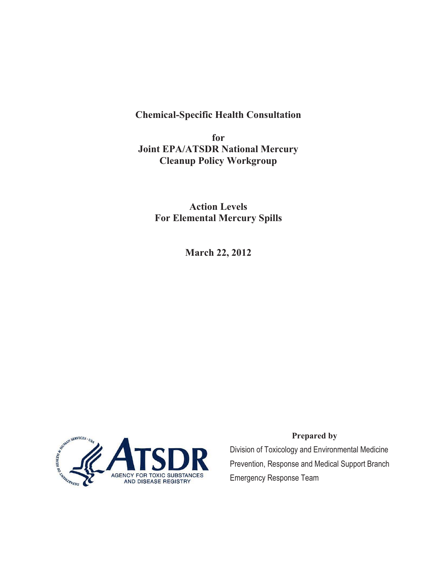**Chemical-Specific Health Consultation** 

**for Joint EPA/ATSDR National Mercury Cleanup Policy Workgroup** 

**Action Levels For Elemental Mercury Spills** 

**March 22, 2012** 



#### **Prepared by**

 Prevention, Response and Medical Support Branch Division of Toxicology and Environmental Medicine Emergency Response Team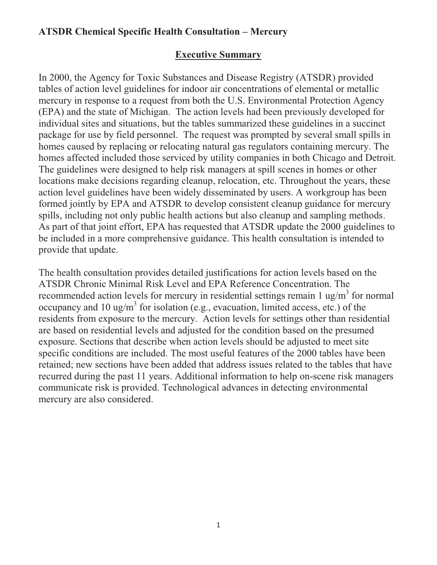## **Executive Summary**

 package for use by field personnel. The request was prompted by several small spills in In 2000, the Agency for Toxic Substances and Disease Registry (ATSDR) provided tables of action level guidelines for indoor air concentrations of elemental or metallic mercury in response to a request from both the U.S. Environmental Protection Agency (EPA) and the state of Michigan. The action levels had been previously developed for individual sites and situations, but the tables summarized these guidelines in a succinct homes caused by replacing or relocating natural gas regulators containing mercury. The homes affected included those serviced by utility companies in both Chicago and Detroit. The guidelines were designed to help risk managers at spill scenes in homes or other locations make decisions regarding cleanup, relocation, etc. Throughout the years, these action level guidelines have been widely disseminated by users. A workgroup has been formed jointly by EPA and ATSDR to develop consistent cleanup guidance for mercury spills, including not only public health actions but also cleanup and sampling methods. As part of that joint effort, EPA has requested that ATSDR update the 2000 guidelines to be included in a more comprehensive guidance. This health consultation is intended to provide that update.

 residents from exposure to the mercury. Action levels for settings other than residential retained; new sections have been added that address issues related to the tables that have The health consultation provides detailed justifications for action levels based on the ATSDR Chronic Minimal Risk Level and EPA Reference Concentration. The recommended action levels for mercury in residential settings remain 1 ug/m<sup>3</sup> for normal occupancy and 10 ug/m<sup>3</sup> for isolation (e.g., evacuation, limited access, etc.) of the are based on residential levels and adjusted for the condition based on the presumed exposure. Sections that describe when action levels should be adjusted to meet site specific conditions are included. The most useful features of the 2000 tables have been recurred during the past 11 years. Additional information to help on-scene risk managers communicate risk is provided. Technological advances in detecting environmental mercury are also considered.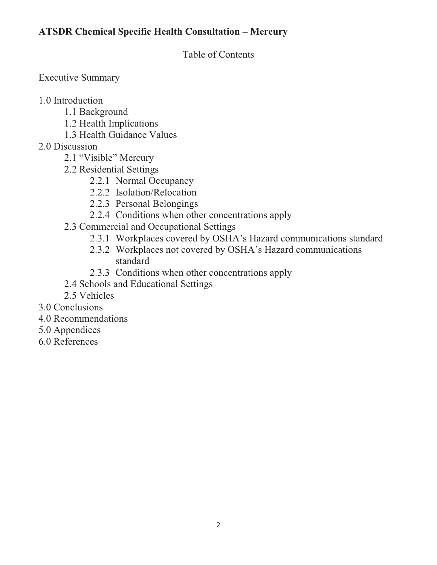Table of Contents

Executive Summary

1.0 Introduction

- 1.1 Background
- 1.2 Health Implications
- 1.3 Health Guidance Values
- 2.0 Discussion
	- 2.1 "Visible" Mercury
	- 2.2 Residential Settings
		- 2.2.1 Normal Occupancy
		- 2.2.2 Isolation/Relocation
		- 2.2.3 Personal Belongings
		- 2.2.4 Conditions when other concentrations apply
	- 2.3 Commercial and Occupational Settings
		- 2.3.1 Workplaces covered by OSHA's Hazard communications standard
		- 2.3.2 Workplaces not covered by OSHA's Hazard communications standard
		- 2.3.3 Conditions when other concentrations apply
	- 2.4 Schools and Educational Settings
	- 2.5 Vehicles
- 3.0 Conclusions
- 4.0 Recommendations
- 5.0 Appendices
- 6.0 References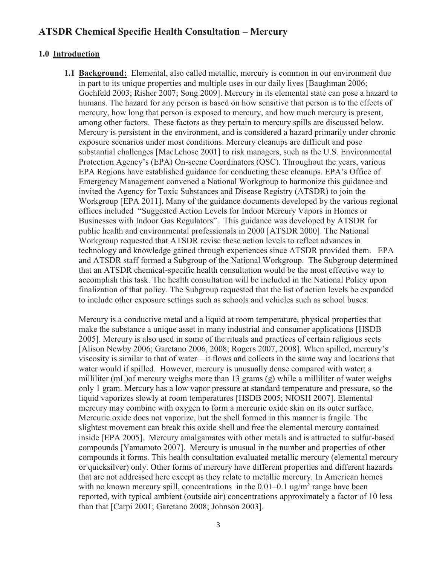#### **1.0 Introduction**

**1.1 Background:** Elemental, also called metallic, mercury is common in our environment due in part to its unique properties and multiple uses in our daily lives [Baughman 2006; Gochfeld 2003; Risher 2007; Song 2009]. Mercury in its elemental state can pose a hazard to humans. The hazard for any person is based on how sensitive that person is to the effects of mercury, how long that person is exposed to mercury, and how much mercury is present, among other factors. These factors as they pertain to mercury spills are discussed below. Mercury is persistent in the environment, and is considered a hazard primarily under chronic exposure scenarios under most conditions. Mercury cleanups are difficult and pose substantial challenges [MacLehose 2001] to risk managers, such as the U.S. Environmental Protection Agency's (EPA) On-scene Coordinators (OSC). Throughout the years, various EPA Regions have established guidance for conducting these cleanups. EPA's Office of Emergency Management convened a National Workgroup to harmonize this guidance and invited the Agency for Toxic Substances and Disease Registry (ATSDR) to join the Workgroup [EPA 2011]. Many of the guidance documents developed by the various regional offices included "Suggested Action Levels for Indoor Mercury Vapors in Homes or Businesses with Indoor Gas Regulators". This guidance was developed by ATSDR for public health and environmental professionals in 2000 [ATSDR 2000]. The National Workgroup requested that ATSDR revise these action levels to reflect advances in technology and knowledge gained through experiences since ATSDR provided them. EPA and ATSDR staff formed a Subgroup of the National Workgroup. The Subgroup determined that an ATSDR chemical-specific health consultation would be the most effective way to accomplish this task. The health consultation will be included in the National Policy upon finalization of that policy. The Subgroup requested that the list of action levels be expanded to include other exposure settings such as schools and vehicles such as school buses.

Mercury is a conductive metal and a liquid at room temperature, physical properties that make the substance a unique asset in many industrial and consumer applications [HSDB 2005]. Mercury is also used in some of the rituals and practices of certain religious sects [Alison Newby 2006; Garetano 2006, 2008; Rogers 2007, 2008]. When spilled, mercury's viscosity is similar to that of water—it flows and collects in the same way and locations that water would if spilled. However, mercury is unusually dense compared with water; a milliliter (mL)of mercury weighs more than 13 grams (g) while a milliliter of water weighs only 1 gram. Mercury has a low vapor pressure at standard temperature and pressure, so the liquid vaporizes slowly at room temperatures [HSDB 2005; NIOSH 2007]. Elemental mercury may combine with oxygen to form a mercuric oxide skin on its outer surface. Mercuric oxide does not vaporize, but the shell formed in this manner is fragile. The slightest movement can break this oxide shell and free the elemental mercury contained inside [EPA 2005]. Mercury amalgamates with other metals and is attracted to sulfur-based compounds [Yamamoto 2007]. Mercury is unusual in the number and properties of other compounds it forms. This health consultation evaluated metallic mercury (elemental mercury or quicksilver) only. Other forms of mercury have different properties and different hazards that are not addressed here except as they relate to metallic mercury. In American homes with no known mercury spill, concentrations in the  $0.01-0.1$  ug/m<sup>3</sup> range have been reported, with typical ambient (outside air) concentrations approximately a factor of 10 less than that [Carpi 2001; Garetano 2008; Johnson 2003].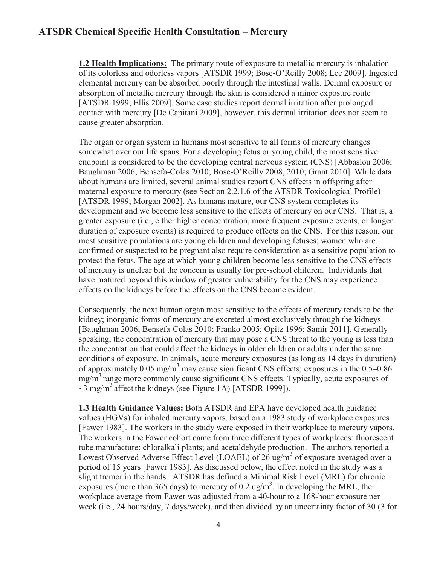cause greater absorption. **1.2 Health Implications:** The primary route of exposure to metallic mercury is inhalation of its colorless and odorless vapors [ATSDR 1999; Bose-O'Reilly 2008; Lee 2009]. Ingested elemental mercury can be absorbed poorly through the intestinal walls. Dermal exposure or absorption of metallic mercury through the skin is considered a minor exposure route [ATSDR 1999; Ellis 2009]. Some case studies report dermal irritation after prolonged contact with mercury [De Capitani 2009], however, this dermal irritation does not seem to

 have matured beyond this window of greater vulnerability for the CNS may experience The organ or organ system in humans most sensitive to all forms of mercury changes somewhat over our life spans. For a developing fetus or young child, the most sensitive endpoint is considered to be the developing central nervous system (CNS) [Abbaslou 2006; Baughman 2006; Bensefa-Colas 2010; Bose-O'Reilly 2008, 2010; Grant 2010]. While data about humans are limited, several animal studies report CNS effects in offspring after maternal exposure to mercury (see Section 2.2.1.6 of the ATSDR Toxicological Profile) [ATSDR 1999; Morgan 2002]. As humans mature, our CNS system completes its development and we become less sensitive to the effects of mercury on our CNS. That is, a greater exposure (i.e., either higher concentration, more frequent exposure events, or longer duration of exposure events) is required to produce effects on the CNS. For this reason, our most sensitive populations are young children and developing fetuses; women who are confirmed or suspected to be pregnant also require consideration as a sensitive population to protect the fetus. The age at which young children become less sensitive to the CNS effects of mercury is unclear but the concern is usually for pre-school children. Individuals that effects on the kidneys before the effects on the CNS become evident.

Consequently, the next human organ most sensitive to the effects of mercury tends to be the kidney; inorganic forms of mercury are excreted almost exclusively through the kidneys [Baughman 2006; Bensefa-Colas 2010; Franko 2005; Opitz 1996; Samir 2011]. Generally speaking, the concentration of mercury that may pose a CNS threat to the young is less than the concentration that could affect the kidneys in older children or adults under the same conditions of exposure. In animals, acute mercury exposures (as long as 14 days in duration) of approximately 0.05 mg/m<sup>3</sup> may cause significant CNS effects; exposures in the  $0.5-0.86$ mg/m<sup>3</sup> range more commonly cause significant CNS effects. Typically, acute exposures of  $\sim$ 3 mg/m<sup>3</sup> affect the kidneys (see Figure 1A) [ATSDR 1999]).

**1.3 Health Guidance Values:** Both ATSDR and EPA have developed health guidance values (HGVs) for inhaled mercury vapors, based on a 1983 study of workplace exposures [Fawer 1983]. The workers in the study were exposed in their workplace to mercury vapors. The workers in the Fawer cohort came from three different types of workplaces: fluorescent tube manufacture; chloralkali plants; and acetaldehyde production. The authors reported a Lowest Observed Adverse Effect Level (LOAEL) of  $26 \text{ ug/m}^3$  of exposure averaged over a period of 15 years [Fawer 1983]. As discussed below, the effect noted in the study was a slight tremor in the hands. ATSDR has defined a Minimal Risk Level (MRL) for chronic exposures (more than 365 days) to mercury of 0.2 ug/m<sup>3</sup>. In developing the MRL, the workplace average from Fawer was adjusted from a 40-hour to a 168-hour exposure per week (i.e., 24 hours/day, 7 days/week), and then divided by an uncertainty factor of 30 (3 for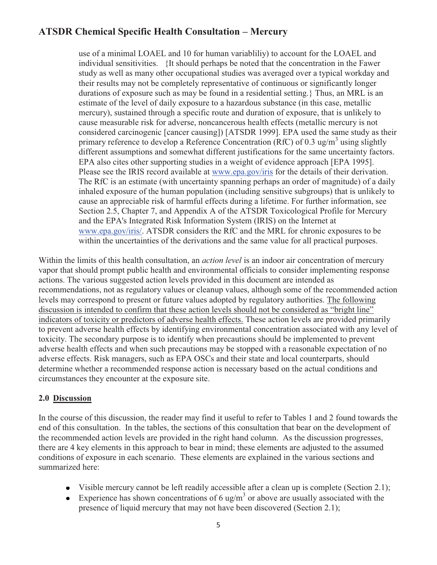EPA also cites other supporting studies in a weight of evidence approach [EPA 1995]. use of a minimal LOAEL and 10 for human variabliliy) to account for the LOAEL and individual sensitivities. {It should perhaps be noted that the concentration in the Fawer study as well as many other occupational studies was averaged over a typical workday and their results may not be completely representative of continuous or significantly longer durations of exposure such as may be found in a residential setting.} Thus, an MRL is an estimate of the level of daily exposure to a hazardous substance (in this case, metallic mercury), sustained through a specific route and duration of exposure, that is unlikely to cause measurable risk for adverse, noncancerous health effects (metallic mercury is not considered carcinogenic [cancer causing]) [ATSDR 1999]. EPA used the same study as their primary reference to develop a Reference Concentration (RfC) of 0.3 ug/m<sup>3</sup> using slightly different assumptions and somewhat different justifications for the same uncertainty factors. Please see the IRIS record available at www.epa.gov/iris for the details of their derivation. The RfC is an estimate (with uncertainty spanning perhaps an order of magnitude) of a daily inhaled exposure of the human population (including sensitive subgroups) that is unlikely to cause an appreciable risk of harmful effects during a lifetime. For further information, see Section 2.5, Chapter 7, and Appendix A of the ATSDR Toxicological Profile for Mercury and the EPA's Integrated Risk Information System (IRIS) on the Internet at www.epa.gov/iris/. ATSDR considers the RfC and the MRL for chronic exposures to be within the uncertainties of the derivations and the same value for all practical purposes.

 to prevent adverse health effects by identifying environmental concentration associated with any level of circumstances they encounter at the exposure site. Within the limits of this health consultation, an *action level* is an indoor air concentration of mercury vapor that should prompt public health and environmental officials to consider implementing response actions. The various suggested action levels provided in this document are intended as recommendations, not as regulatory values or cleanup values, although some of the recommended action levels may correspond to present or future values adopted by regulatory authorities. The following discussion is intended to confirm that these action levels should not be considered as "bright line" indicators of toxicity or predictors of adverse health effects. These action levels are provided primarily toxicity. The secondary purpose is to identify when precautions should be implemented to prevent adverse health effects and when such precautions may be stopped with a reasonable expectation of no adverse effects. Risk managers, such as EPA OSCs and their state and local counterparts, should determine whether a recommended response action is necessary based on the actual conditions and

#### **2.0 Discussion**

In the course of this discussion, the reader may find it useful to refer to Tables 1 and 2 found towards the end of this consultation. In the tables, the sections of this consultation that bear on the development of the recommended action levels are provided in the right hand column. As the discussion progresses, there are 4 key elements in this approach to bear in mind; these elements are adjusted to the assumed conditions of exposure in each scenario. These elements are explained in the various sections and summarized here:

- Visible mercury cannot be left readily accessible after a clean up is complete (Section 2.1);
- Experience has shown concentrations of 6 ug/m<sup>3</sup> or above are usually associated with the presence of liquid mercury that may not have been discovered (Section 2.1);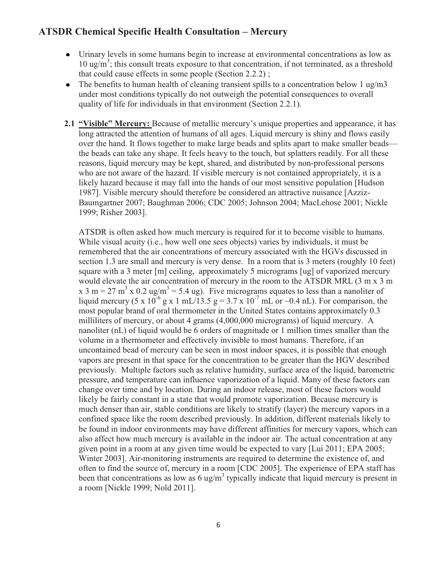- Urinary levels in some humans begin to increase at environmental concentrations as low as 10 ug/m<sup>3</sup>; this consult treats exposure to that concentration, if not terminated, as a threshold that could cause effects in some people (Section 2.2.2) ;
- The benefits to human health of cleaning transient spills to a concentration below 1 ug/m3  $\bullet$ under most conditions typically do not outweigh the potential consequences to overall quality of life for individuals in that environment (Section 2.2.1).
- 1999; Risher 2003]. **2.1 "Visible" Mercury:** Because of metallic mercury's unique properties and appearance, it has long attracted the attention of humans of all ages. Liquid mercury is shiny and flows easily over the hand. It flows together to make large beads and splits apart to make smaller beads the beads can take any shape. It feels heavy to the touch, but splatters readily. For all these reasons, liquid mercury may be kept, shared, and distributed by non-professional persons who are not aware of the hazard. If visible mercury is not contained appropriately, it is a likely hazard because it may fall into the hands of our most sensitive population [Hudson 1987]. Visible mercury should therefore be considered an attractive nuisance [Azziz-Baumgartner 2007; Baughman 2006; CDC 2005; Johnson 2004; MacLehose 2001; Nickle

ATSDR is often asked how much mercury is required for it to become visible to humans. While visual acuity (i.e., how well one sees objects) varies by individuals, it must be remembered that the air concentrations of mercury associated with the HGVs discussed in section 1.3 are small and mercury is very dense. In a room that is 3 meters (roughly 10 feet) square with a 3 meter [m] ceiling, approximately 5 micrograms [ug] of vaporized mercury would elevate the air concentration of mercury in the room to the ATSDR MRL (3 m x 3 m x 3 m = 27 m<sup>3</sup> x 0.2 ug/m<sup>3</sup> = 5.4 ug). Five micrograms equates to less than a nanoliter of liquid mercury (5 x  $10^{-6}$  g x 1 mL/13.5 g = 3.7 x  $10^{-7}$  mL or  $\sim$ 0.4 nL). For comparison, the most popular brand of oral thermometer in the United States contains approximately 0.3 milliliters of mercury, or about 4 grams (4,000,000 micrograms) of liquid mercury. A nanoliter (nL) of liquid would be 6 orders of magnitude or 1 million times smaller than the volume in a thermometer and effectively invisible to most humans. Therefore, if an uncontained bead of mercury can be seen in most indoor spaces, it is possible that enough vapors are present in that space for the concentration to be greater than the HGV described previously. Multiple factors such as relative humidity, surface area of the liquid, barometric pressure, and temperature can influence vaporization of a liquid. Many of these factors can change over time and by location. During an indoor release, most of these factors would likely be fairly constant in a state that would promote vaporization. Because mercury is much denser than air, stable conditions are likely to stratify (layer) the mercury vapors in a confined space like the room described previously. In addition, different materials likely to be found in indoor environments may have different affinities for mercury vapors, which can also affect how much mercury is available in the indoor air. The actual concentration at any given point in a room at any given time would be expected to vary [Lui 2011; EPA 2005; Winter 2003]. Air-monitoring instruments are required to determine the existence of, and often to find the source of, mercury in a room [CDC 2005]. The experience of EPA staff has been that concentrations as low as  $6 \text{ ug/m}^3$  typically indicate that liquid mercury is present in a room [Nickle 1999; Nold 2011].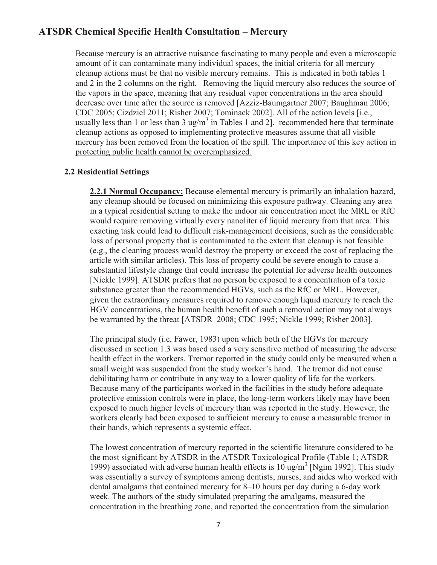protecting public health cannot be overemphasized. Because mercury is an attractive nuisance fascinating to many people and even a microscopic amount of it can contaminate many individual spaces, the initial criteria for all mercury cleanup actions must be that no visible mercury remains. This is indicated in both tables 1 and 2 in the 2 columns on the right. Removing the liquid mercury also reduces the source of the vapors in the space, meaning that any residual vapor concentrations in the area should decrease over time after the source is removed [Azziz-Baumgartner 2007; Baughman 2006; CDC 2005; Cizdziel 2011; Risher 2007; Tominack 2002]. All of the action levels [i.e., usually less than 1 or less than 3 ug/m<sup>3</sup> in Tables 1 and 2]. recommended here that terminate cleanup actions as opposed to implementing protective measures assume that all visible mercury has been removed from the location of the spill. The importance of this key action in

#### **2.2 Residential Settings**

**2.2.1 Normal Occupancy:** Because elemental mercury is primarily an inhalation hazard, any cleanup should be focused on minimizing this exposure pathway. Cleaning any area in a typical residential setting to make the indoor air concentration meet the MRL or RfC would require removing virtually every nanoliter of liquid mercury from that area. This exacting task could lead to difficult risk-management decisions, such as the considerable loss of personal property that is contaminated to the extent that cleanup is not feasible (e.g., the cleaning process would destroy the property or exceed the cost of replacing the article with similar articles). This loss of property could be severe enough to cause a substantial lifestyle change that could increase the potential for adverse health outcomes [Nickle 1999]. ATSDR prefers that no person be exposed to a concentration of a toxic substance greater than the recommended HGVs, such as the RfC or MRL. However, given the extraordinary measures required to remove enough liquid mercury to reach the HGV concentrations, the human health benefit of such a removal action may not always be warranted by the threat [ATSDR 2008; CDC 1995; Nickle 1999; Risher 2003].

 The principal study (i.e, Fawer, 1983) upon which both of the HGVs for mercury discussed in section 1.3 was based used a very sensitive method of measuring the adverse health effect in the workers. Tremor reported in the study could only be measured when a small weight was suspended from the study worker's hand. The tremor did not cause debilitating harm or contribute in any way to a lower quality of life for the workers. Because many of the participants worked in the facilities in the study before adequate protective emission controls were in place, the long-term workers likely may have been exposed to much higher levels of mercury than was reported in the study. However, the workers clearly had been exposed to sufficient mercury to cause a measurable tremor in their hands, which represents a systemic effect.

 dental amalgams that contained mercury for 8–10 hours per day during a 6-day work The lowest concentration of mercury reported in the scientific literature considered to be the most significant by ATSDR in the ATSDR Toxicological Profile (Table 1; ATSDR 1999) associated with adverse human health effects is  $10 \text{ ug/m}^3$  [Ngim 1992]. This study was essentially a survey of symptoms among dentists, nurses, and aides who worked with week. The authors of the study simulated preparing the amalgams, measured the concentration in the breathing zone, and reported the concentration from the simulation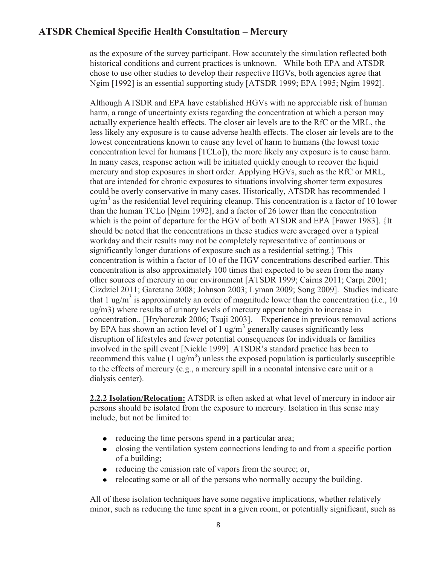as the exposure of the survey participant. How accurately the simulation reflected both historical conditions and current practices is unknown. While both EPA and ATSDR chose to use other studies to develop their respective HGVs, both agencies agree that Ngim [1992] is an essential supporting study [ATSDR 1999; EPA 1995; Ngim 1992].

 concentration.. [Hryhorczuk 2006; Tsuji 2003]. Experience in previous removal actions Although ATSDR and EPA have established HGVs with no appreciable risk of human harm, a range of uncertainty exists regarding the concentration at which a person may actually experience health effects. The closer air levels are to the RfC or the MRL, the less likely any exposure is to cause adverse health effects. The closer air levels are to the lowest concentrations known to cause any level of harm to humans (the lowest toxic concentration level for humans [TCLo]), the more likely any exposure is to cause harm. In many cases, response action will be initiated quickly enough to recover the liquid mercury and stop exposures in short order. Applying HGVs, such as the RfC or MRL, that are intended for chronic exposures to situations involving shorter term exposures could be overly conservative in many cases. Historically, ATSDR has recommended 1  $\mu$ g/m<sup>3</sup> as the residential level requiring cleanup. This concentration is a factor of 10 lower than the human TCLo [Ngim 1992], and a factor of 26 lower than the concentration which is the point of departure for the HGV of both ATSDR and EPA [Fawer 1983]. {It should be noted that the concentrations in these studies were averaged over a typical workday and their results may not be completely representative of continuous or significantly longer durations of exposure such as a residential setting.} This concentration is within a factor of 10 of the HGV concentrations described earlier. This concentration is also approximately 100 times that expected to be seen from the many other sources of mercury in our environment [ATSDR 1999; Cairns 2011; Carpi 2001; Cizdziel 2011; Garetano 2008; Johnson 2003; Lyman 2009; Song 2009]. Studies indicate that 1 ug/m<sup>3</sup> is approximately an order of magnitude lower than the concentration (i.e., 10 ug/m3) where results of urinary levels of mercury appear tobegin to increase in by EPA has shown an action level of 1 ug/m<sup>3</sup> generally causes significantly less disruption of lifestyles and fewer potential consequences for individuals or families involved in the spill event [Nickle 1999]. ATSDR's standard practice has been to recommend this value  $(1 \text{ ug/m}^3)$  unless the exposed population is particularly susceptible to the effects of mercury (e.g., a mercury spill in a neonatal intensive care unit or a dialysis center).

 **2.2.2 Isolation/Relocation:** ATSDR is often asked at what level of mercury in indoor air persons should be isolated from the exposure to mercury. Isolation in this sense may include, but not be limited to:

- reducing the time persons spend in a particular area;
- closing the ventilation system connections leading to and from a specific portion  $\bullet$ of a building;
- reducing the emission rate of vapors from the source; or,
- relocating some or all of the persons who normally occupy the building.

All of these isolation techniques have some negative implications, whether relatively minor, such as reducing the time spent in a given room, or potentially significant, such as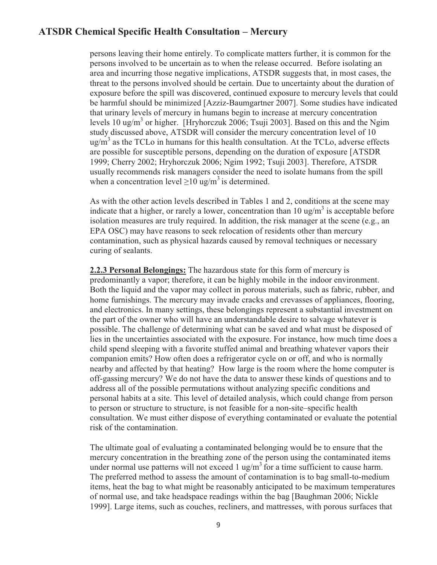persons leaving their home entirely. To complicate matters further, it is common for the persons involved to be uncertain as to when the release occurred. Before isolating an area and incurring those negative implications, ATSDR suggests that, in most cases, the threat to the persons involved should be certain. Due to uncertainty about the duration of exposure before the spill was discovered, continued exposure to mercury levels that could be harmful should be minimized [Azziz-Baumgartner 2007]. Some studies have indicated that urinary levels of mercury in humans begin to increase at mercury concentration levels 10 ug/m<sup>3</sup> or higher. [Hryhorczuk 2006; Tsuji 2003]. Based on this and the Ngim study discussed above, ATSDR will consider the mercury concentration level of 10  $\mu$ g/m<sup>3</sup> as the TCLo in humans for this health consultation. At the TCLo, adverse effects are possible for susceptible persons, depending on the duration of exposure [ATSDR 1999; Cherry 2002; Hryhorczuk 2006; Ngim 1992; Tsuji 2003]. Therefore, ATSDR usually recommends risk managers consider the need to isolate humans from the spill when a concentration level  $>10 \text{ ug/m}^3$  is determined.

indicate that a higher, or rarely a lower, concentration than 10 ug/m<sup>3</sup> is acceptable before contamination, such as physical hazards caused by removal techniques or necessary curing of sealants. As with the other action levels described in Tables 1 and 2, conditions at the scene may isolation measures are truly required. In addition, the risk manager at the scene (e.g., an EPA OSC) may have reasons to seek relocation of residents other than mercury

**2.2.3 Personal Belongings:** The hazardous state for this form of mercury is predominantly a vapor; therefore, it can be highly mobile in the indoor environment. Both the liquid and the vapor may collect in porous materials, such as fabric, rubber, and home furnishings. The mercury may invade cracks and crevasses of appliances, flooring, and electronics. In many settings, these belongings represent a substantial investment on the part of the owner who will have an understandable desire to salvage whatever is possible. The challenge of determining what can be saved and what must be disposed of lies in the uncertainties associated with the exposure. For instance, how much time does a child spend sleeping with a favorite stuffed animal and breathing whatever vapors their companion emits? How often does a refrigerator cycle on or off, and who is normally nearby and affected by that heating? How large is the room where the home computer is off-gassing mercury? We do not have the data to answer these kinds of questions and to address all of the possible permutations without analyzing specific conditions and personal habits at a site. This level of detailed analysis, which could change from person to person or structure to structure, is not feasible for a non-site–specific health consultation. We must either dispose of everything contaminated or evaluate the potential risk of the contamination.

The ultimate goal of evaluating a contaminated belonging would be to ensure that the mercury concentration in the breathing zone of the person using the contaminated items under normal use patterns will not exceed 1 ug/m<sup>3</sup> for a time sufficient to cause harm. The preferred method to assess the amount of contamination is to bag small-to-medium items, heat the bag to what might be reasonably anticipated to be maximum temperatures of normal use, and take headspace readings within the bag [Baughman 2006; Nickle 1999]. Large items, such as couches, recliners, and mattresses, with porous surfaces that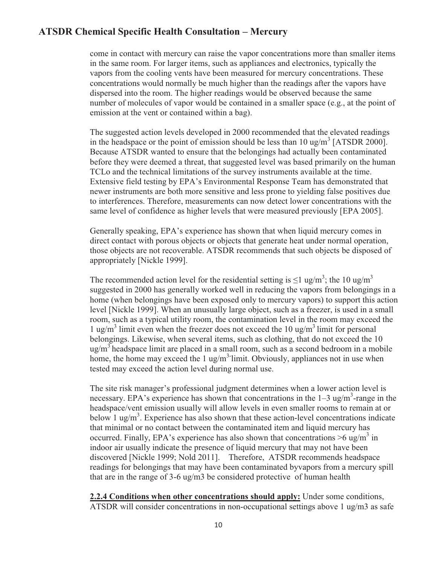come in contact with mercury can raise the vapor concentrations more than smaller items in the same room. For larger items, such as appliances and electronics, typically the vapors from the cooling vents have been measured for mercury concentrations. These concentrations would normally be much higher than the readings after the vapors have dispersed into the room. The higher readings would be observed because the same number of molecules of vapor would be contained in a smaller space (e.g., at the point of emission at the vent or contained within a bag).

The suggested action levels developed in 2000 recommended that the elevated readings in the headspace or the point of emission should be less than  $10 \text{ ug/m}^3$  [ATSDR 2000]. Because ATSDR wanted to ensure that the belongings had actually been contaminated before they were deemed a threat, that suggested level was based primarily on the human TCLo and the technical limitations of the survey instruments available at the time. Extensive field testing by EPA's Environmental Response Team has demonstrated that newer instruments are both more sensitive and less prone to yielding false positives due to interferences. Therefore, measurements can now detect lower concentrations with the same level of confidence as higher levels that were measured previously [EPA 2005].

appropriately [Nickle 1999]. Generally speaking, EPA's experience has shown that when liquid mercury comes in direct contact with porous objects or objects that generate heat under normal operation, those objects are not recoverable. ATSDR recommends that such objects be disposed of

appropriately [Nickle 1999].<br>The recommended action level for the residential setting is ≤1 ug/m<sup>3</sup>; the 10 ug/m<sup>3</sup> suggested in 2000 has generally worked well in reducing the vapors from belongings in a home (when belongings have been exposed only to mercury vapors) to support this action level [Nickle 1999]. When an unusually large object, such as a freezer, is used in a small room, such as a typical utility room, the contamination level in the room may exceed the 1 ug/m<sup>3</sup> limit even when the freezer does not exceed the 10 ug/m<sup>3</sup> limit for personal belongings. Likewise, when several items, such as clothing, that do not exceed the 10  $\mu$ g/m<sup>3</sup> headspace limit are placed in a small room, such as a second bedroom in a mobile home, the home may exceed the 1 ug/m<sup>3-</sup>limit. Obviously, appliances not in use when tested may exceed the action level during normal use.

The site risk manager's professional judgment determines when a lower action level is necessary. EPA's experience has shown that concentrations in the  $1-3$  ug/m<sup>3</sup>-range in the headspace/vent emission usually will allow levels in even smaller rooms to remain at or below 1 ug/m<sup>3</sup>. Experience has also shown that these action-level concentrations indicate that minimal or no contact between the contaminated item and liquid mercury has occurred. Finally, EPA's experience has also shown that concentrations  $>6$  ug/m<sup>3</sup> in indoor air usually indicate the presence of liquid mercury that may not have been discovered [Nickle 1999; Nold 2011]. Therefore, ATSDR recommends headspace readings for belongings that may have been contaminated byvapors from a mercury spill that are in the range of 3-6 ug/m3 be considered protective of human health

**2.2.4 Conditions when other concentrations should apply:** Under some conditions, ATSDR will consider concentrations in non-occupational settings above 1 ug/m3 as safe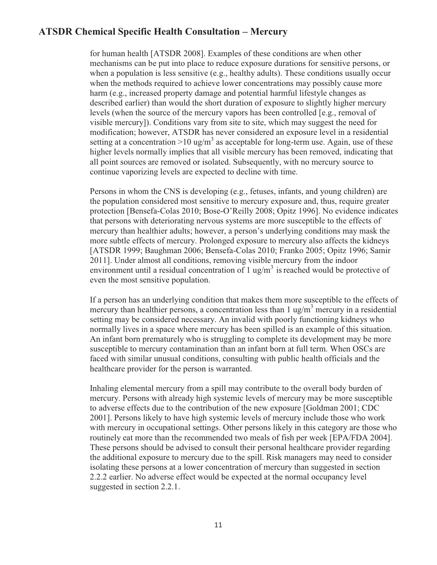for human health [ATSDR 2008]. Examples of these conditions are when other mechanisms can be put into place to reduce exposure durations for sensitive persons, or when a population is less sensitive (e.g., healthy adults). These conditions usually occur when the methods required to achieve lower concentrations may possibly cause more harm (e.g., increased property damage and potential harmful lifestyle changes as described earlier) than would the short duration of exposure to slightly higher mercury levels (when the source of the mercury vapors has been controlled [e.g., removal of visible mercury]). Conditions vary from site to site, which may suggest the need for modification; however, ATSDR has never considered an exposure level in a residential setting at a concentration  $>10$  ug/m<sup>3</sup> as acceptable for long-term use. Again, use of these higher levels normally implies that all visible mercury has been removed, indicating that all point sources are removed or isolated. Subsequently, with no mercury source to continue vaporizing levels are expected to decline with time.

 the population considered most sensitive to mercury exposure and, thus, require greater Persons in whom the CNS is developing (e.g., fetuses, infants, and young children) are protection [Bensefa-Colas 2010; Bose-O'Reilly 2008; Opitz 1996]. No evidence indicates that persons with deteriorating nervous systems are more susceptible to the effects of mercury than healthier adults; however, a person's underlying conditions may mask the more subtle effects of mercury. Prolonged exposure to mercury also affects the kidneys [ATSDR 1999; Baughman 2006; Bensefa-Colas 2010; Franko 2005; Opitz 1996; Samir 2011]. Under almost all conditions, removing visible mercury from the indoor environment until a residual concentration of 1 ug/m<sup>3</sup> is reached would be protective of even the most sensitive population.

 setting may be considered necessary. An invalid with poorly functioning kidneys who If a person has an underlying condition that makes them more susceptible to the effects of mercury than healthier persons, a concentration less than  $1 \text{ ug/m}^3$  mercury in a residential normally lives in a space where mercury has been spilled is an example of this situation. An infant born prematurely who is struggling to complete its development may be more susceptible to mercury contamination than an infant born at full term. When OSCs are faced with similar unusual conditions, consulting with public health officials and the healthcare provider for the person is warranted.

Inhaling elemental mercury from a spill may contribute to the overall body burden of mercury. Persons with already high systemic levels of mercury may be more susceptible to adverse effects due to the contribution of the new exposure [Goldman 2001; CDC 2001]. Persons likely to have high systemic levels of mercury include those who work with mercury in occupational settings. Other persons likely in this category are those who routinely eat more than the recommended two meals of fish per week [EPA/FDA 2004]. These persons should be advised to consult their personal healthcare provider regarding the additional exposure to mercury due to the spill. Risk managers may need to consider isolating these persons at a lower concentration of mercury than suggested in section 2.2.2 earlier. No adverse effect would be expected at the normal occupancy level suggested in section 2.2.1.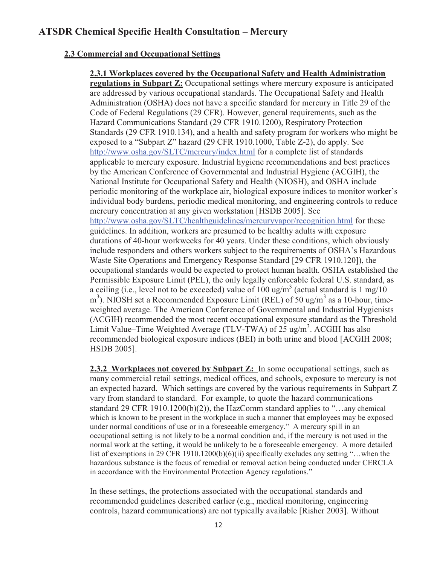#### **2.3 Commercial and Occupational Settings**

#### **2.3.1 Workplaces covered by the Occupational Safety and Health Administration regulations in Subpart Z:** Occupational settings where mercury exposure is anticipated are addressed by various occupational standards. The Occupational Safety and Health Administration (OSHA) does not have a specific standard for mercury in Title 29 of the Code of Federal Regulations (29 CFR). However, general requirements, such as the Hazard Communications Standard (29 CFR 1910.1200), Respiratory Protection Standards (29 CFR 1910.134), and a health and safety program for workers who might be exposed to a "Subpart Z" hazard (29 CFR 1910.1000, Table Z-2), do apply. See http://www.osha.gov/SLTC/mercury/index.html for a complete list of standards applicable to mercury exposure. Industrial hygiene recommendations and best practices by the American Conference of Governmental and Industrial Hygiene (ACGIH), the National Institute for Occupational Safety and Health (NIOSH), and OSHA include periodic monitoring of the workplace air, biological exposure indices to monitor worker's individual body burdens, periodic medical monitoring, and engineering controls to reduce mercury concentration at any given workstation [HSDB 2005]. See http://www.osha.gov/SLTC/healthguidelines/mercuryvapor/recognition.html for these guidelines. In addition, workers are presumed to be healthy adults with exposure durations of 40-hour workweeks for 40 years. Under these conditions, which obviously include responders and others workers subject to the requirements of OSHA's Hazardous Waste Site Operations and Emergency Response Standard [29 CFR 1910.120]), the occupational standards would be expected to protect human health. OSHA established the Permissible Exposure Limit (PEL), the only legally enforceable federal U.S. standard, as a ceiling (i.e., level not to be exceeded) value of 100 ug/m<sup>3</sup> (actual standard is 1 mg/10 m<sup>3</sup>). NIOSH set a Recommended Exposure Limit (REL) of 50 ug/m<sup>3</sup> as a 10-hour, timeweighted average. The American Conference of Governmental and Industrial Hygienists (ACGIH) recommended the most recent occupational exposure standard as the Threshold Limit Value–Time Weighted Average (TLV-TWA) of  $25 \text{ ug/m}^3$ . ACGIH has also recommended biological exposure indices (BEI) in both urine and blood [ACGIH 2008; HSDB 2005].

2.3.2 Workplaces not covered by Subpart Z: In some occupational settings, such as normal work at the setting, it would be unlikely to be a foreseeable emergency. A more detailed many commercial retail settings, medical offices, and schools, exposure to mercury is not an expected hazard. Which settings are covered by the various requirements in Subpart Z vary from standard to standard. For example, to quote the hazard communications standard 29 CFR 1910.1200(b)(2)), the HazComm standard applies to "…any chemical which is known to be present in the workplace in such a manner that employees may be exposed under normal conditions of use or in a foreseeable emergency." A mercury spill in an occupational setting is not likely to be a normal condition and, if the mercury is not used in the list of exemptions in 29 CFR 1910.1200(b)(6)(ii) specifically excludes any setting "... when the hazardous substance is the focus of remedial or removal action being conducted under CERCLA in accordance with the Environmental Protection Agency regulations."

In these settings, the protections associated with the occupational standards and recommended guidelines described earlier (e.g., medical monitoring, engineering controls, hazard communications) are not typically available [Risher 2003]. Without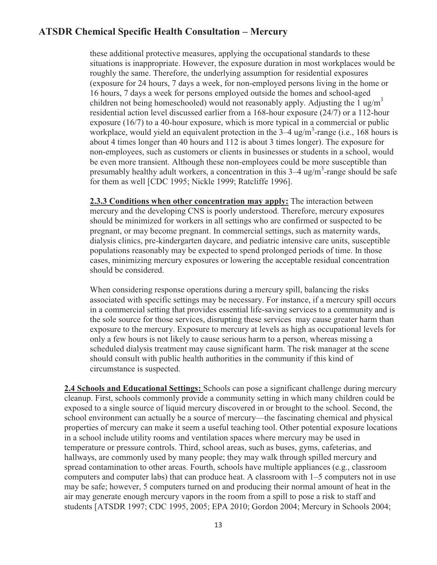children not being homeschooled) would not reasonably apply. Adjusting the  $1 \text{ ug/m}^3$  for them as well [CDC 1995; Nickle 1999; Ratcliffe 1996]. these additional protective measures, applying the occupational standards to these situations is inappropriate. However, the exposure duration in most workplaces would be roughly the same. Therefore, the underlying assumption for residential exposures (exposure for 24 hours, 7 days a week, for non-employed persons living in the home or 16 hours, 7 days a week for persons employed outside the homes and school-aged residential action level discussed earlier from a 168-hour exposure (24/7) or a 112-hour exposure (16/7) to a 40-hour exposure, which is more typical in a commercial or public workplace, would yield an equivalent protection in the  $3-4$  ug/m<sup>3</sup>-range (i.e., 168 hours is about 4 times longer than 40 hours and 112 is about 3 times longer). The exposure for non-employees, such as customers or clients in businesses or students in a school, would be even more transient. Although these non-employees could be more susceptible than presumably healthy adult workers, a concentration in this  $3-4$  ug/m<sup>3</sup>-range should be safe

 pregnant, or may become pregnant. In commercial settings, such as maternity wards, populations reasonably may be expected to spend prolonged periods of time. In those **2.3.3 Conditions when other concentration may apply:** The interaction between mercury and the developing CNS is poorly understood. Therefore, mercury exposures should be minimized for workers in all settings who are confirmed or suspected to be dialysis clinics, pre-kindergarten daycare, and pediatric intensive care units, susceptible cases, minimizing mercury exposures or lowering the acceptable residual concentration should be considered.

When considering response operations during a mercury spill, balancing the risks associated with specific settings may be necessary. For instance, if a mercury spill occurs in a commercial setting that provides essential life-saving services to a community and is the sole source for those services, disrupting these services may cause greater harm than exposure to the mercury. Exposure to mercury at levels as high as occupational levels for only a few hours is not likely to cause serious harm to a person, whereas missing a scheduled dialysis treatment may cause significant harm. The risk manager at the scene should consult with public health authorities in the community if this kind of circumstance is suspected.

 hallways, are commonly used by many people; they may walk through spilled mercury and **2.4 Schools and Educational Settings:** Schools can pose a significant challenge during mercury cleanup. First, schools commonly provide a community setting in which many children could be exposed to a single source of liquid mercury discovered in or brought to the school. Second, the school environment can actually be a source of mercury—the fascinating chemical and physical properties of mercury can make it seem a useful teaching tool. Other potential exposure locations in a school include utility rooms and ventilation spaces where mercury may be used in temperature or pressure controls. Third, school areas, such as buses, gyms, cafeterias, and spread contamination to other areas. Fourth, schools have multiple appliances (e.g., classroom computers and computer labs) that can produce heat. A classroom with 1–5 computers not in use may be safe; however, 5 computers turned on and producing their normal amount of heat in the air may generate enough mercury vapors in the room from a spill to pose a risk to staff and students [ATSDR 1997; CDC 1995, 2005; EPA 2010; Gordon 2004; Mercury in Schools 2004;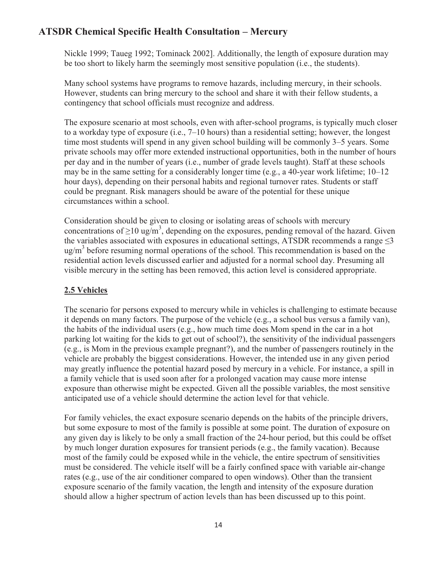Nickle 1999; Taueg 1992; Tominack 2002]. Additionally, the length of exposure duration may be too short to likely harm the seemingly most sensitive population (i.e., the students).

Many school systems have programs to remove hazards, including mercury, in their schools. However, students can bring mercury to the school and share it with their fellow students, a contingency that school officials must recognize and address.

The exposure scenario at most schools, even with after-school programs, is typically much closer to a workday type of exposure (i.e., 7–10 hours) than a residential setting; however, the longest time most students will spend in any given school building will be commonly 3–5 years. Some private schools may offer more extended instructional opportunities, both in the number of hours per day and in the number of years (i.e., number of grade levels taught). Staff at these schools may be in the same setting for a considerably longer time (e.g., a 40-year work lifetime; 10–12 hour days), depending on their personal habits and regional turnover rates. Students or staff could be pregnant. Risk managers should be aware of the potential for these unique circumstances within a school.

Consideration should be given to closing or isolating areas of schools with mercury concentrations of  $\geq 10 \text{ ug/m}^3$ , depending on the exposures, pending removal of the hazard. Given the variables associated with exposures in educational settings, ATSDR recommends a range  $\leq$ 3 ug/m<sup>3</sup> before resuming normal operations of the school. This recommendation is based on the residential action levels discussed earlier and adjusted for a normal school day. Presuming all visible mercury in the setting has been removed, this action level is considered appropriate.

#### **2.5 Vehicles**

The scenario for persons exposed to mercury while in vehicles is challenging to estimate because it depends on many factors. The purpose of the vehicle (e.g., a school bus versus a family van), the habits of the individual users (e.g., how much time does Mom spend in the car in a hot parking lot waiting for the kids to get out of school?), the sensitivity of the individual passengers (e.g., is Mom in the previous example pregnant?), and the number of passengers routinely in the vehicle are probably the biggest considerations. However, the intended use in any given period may greatly influence the potential hazard posed by mercury in a vehicle. For instance, a spill in a family vehicle that is used soon after for a prolonged vacation may cause more intense exposure than otherwise might be expected. Given all the possible variables, the most sensitive anticipated use of a vehicle should determine the action level for that vehicle.

For family vehicles, the exact exposure scenario depends on the habits of the principle drivers, but some exposure to most of the family is possible at some point. The duration of exposure on any given day is likely to be only a small fraction of the 24-hour period, but this could be offset by much longer duration exposures for transient periods (e.g., the family vacation). Because most of the family could be exposed while in the vehicle, the entire spectrum of sensitivities must be considered. The vehicle itself will be a fairly confined space with variable air-change rates (e.g., use of the air conditioner compared to open windows). Other than the transient exposure scenario of the family vacation, the length and intensity of the exposure duration should allow a higher spectrum of action levels than has been discussed up to this point.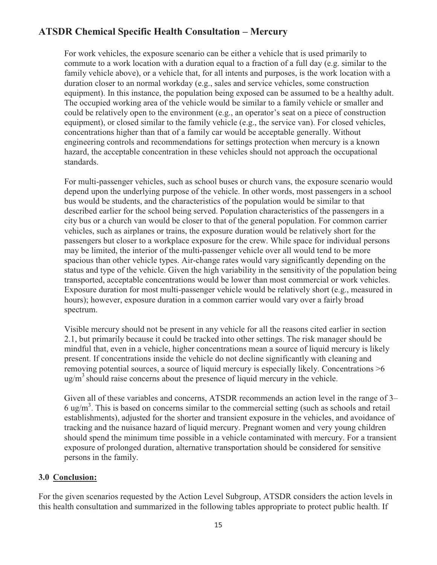For work vehicles, the exposure scenario can be either a vehicle that is used primarily to commute to a work location with a duration equal to a fraction of a full day (e.g. similar to the family vehicle above), or a vehicle that, for all intents and purposes, is the work location with a duration closer to an normal workday (e.g., sales and service vehicles, some construction equipment). In this instance, the population being exposed can be assumed to be a healthy adult. The occupied working area of the vehicle would be similar to a family vehicle or smaller and could be relatively open to the environment (e.g., an operator's seat on a piece of construction equipment), or closed similar to the family vehicle (e.g., the service van). For closed vehicles, concentrations higher than that of a family car would be acceptable generally. Without engineering controls and recommendations for settings protection when mercury is a known hazard, the acceptable concentration in these vehicles should not approach the occupational standards.

For multi-passenger vehicles, such as school buses or church vans, the exposure scenario would depend upon the underlying purpose of the vehicle. In other words, most passengers in a school bus would be students, and the characteristics of the population would be similar to that described earlier for the school being served. Population characteristics of the passengers in a city bus or a church van would be closer to that of the general population. For common carrier vehicles, such as airplanes or trains, the exposure duration would be relatively short for the passengers but closer to a workplace exposure for the crew. While space for individual persons may be limited, the interior of the multi-passenger vehicle over all would tend to be more spacious than other vehicle types. Air-change rates would vary significantly depending on the status and type of the vehicle. Given the high variability in the sensitivity of the population being transported, acceptable concentrations would be lower than most commercial or work vehicles. Exposure duration for most multi-passenger vehicle would be relatively short (e.g., measured in hours); however, exposure duration in a common carrier would vary over a fairly broad spectrum.

 mindful that, even in a vehicle, higher concentrations mean a source of liquid mercury is likely Visible mercury should not be present in any vehicle for all the reasons cited earlier in section 2.1, but primarily because it could be tracked into other settings. The risk manager should be present. If concentrations inside the vehicle do not decline significantly with cleaning and removing potential sources, a source of liquid mercury is especially likely. Concentrations >6  $\mu$ g/m<sup>3</sup> should raise concerns about the presence of liquid mercury in the vehicle.

 tracking and the nuisance hazard of liquid mercury. Pregnant women and very young children Given all of these variables and concerns, ATSDR recommends an action level in the range of 3–  $6 \text{ ug/m}^3$ . This is based on concerns similar to the commercial setting (such as schools and retail establishments), adjusted for the shorter and transient exposure in the vehicles, and avoidance of should spend the minimum time possible in a vehicle contaminated with mercury. For a transient exposure of prolonged duration, alternative transportation should be considered for sensitive persons in the family.

#### **3.0 Conclusion:**

For the given scenarios requested by the Action Level Subgroup, ATSDR considers the action levels in this health consultation and summarized in the following tables appropriate to protect public health. If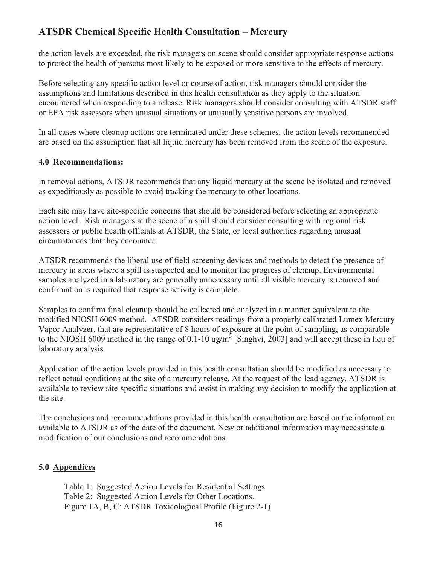to protect the health of persons most likely to be exposed or more sensitive to the effects of mercury. the action levels are exceeded, the risk managers on scene should consider appropriate response actions

Before selecting any specific action level or course of action, risk managers should consider the assumptions and limitations described in this health consultation as they apply to the situation encountered when responding to a release. Risk managers should consider consulting with ATSDR staff or EPA risk assessors when unusual situations or unusually sensitive persons are involved.

In all cases where cleanup actions are terminated under these schemes, the action levels recommended are based on the assumption that all liquid mercury has been removed from the scene of the exposure.

#### **4.0 Recommendations:**

In removal actions, ATSDR recommends that any liquid mercury at the scene be isolated and removed as expeditiously as possible to avoid tracking the mercury to other locations.

Each site may have site-specific concerns that should be considered before selecting an appropriate action level. Risk managers at the scene of a spill should consider consulting with regional risk assessors or public health officials at ATSDR, the State, or local authorities regarding unusual circumstances that they encounter.

ATSDR recommends the liberal use of field screening devices and methods to detect the presence of mercury in areas where a spill is suspected and to monitor the progress of cleanup. Environmental samples analyzed in a laboratory are generally unnecessary until all visible mercury is removed and confirmation is required that response activity is complete.

Samples to confirm final cleanup should be collected and analyzed in a manner equivalent to the modified NIOSH 6009 method. ATSDR considers readings from a properly calibrated Lumex Mercury Vapor Analyzer, that are representative of 8 hours of exposure at the point of sampling, as comparable to the NIOSH 6009 method in the range of 0.1-10 ug/m<sup>3</sup> [Singhvi, 2003] and will accept these in lieu of laboratory analysis.

Application of the action levels provided in this health consultation should be modified as necessary to reflect actual conditions at the site of a mercury release. At the request of the lead agency, ATSDR is available to review site-specific situations and assist in making any decision to modify the application at the site.

The conclusions and recommendations provided in this health consultation are based on the information available to ATSDR as of the date of the document. New or additional information may necessitate a modification of our conclusions and recommendations.

#### **5.0 Appendices**

Table 1: Suggested Action Levels for Residential Settings Table 2: Suggested Action Levels for Other Locations. Figure 1A, B, C: ATSDR Toxicological Profile (Figure 2-1)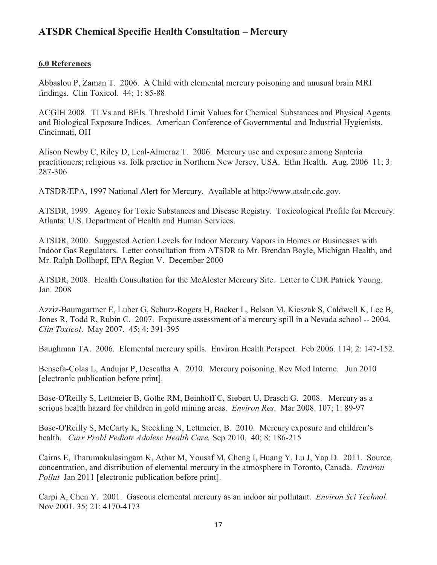#### **6.0 References**

Abbaslou P, Zaman T. 2006. A Child with elemental mercury poisoning and unusual brain MRI findings. Clin Toxicol. 44; 1: 85-88

ACGIH 2008. TLVs and BEIs. Threshold Limit Values for Chemical Substances and Physical Agents and Biological Exposure Indices. American Conference of Governmental and Industrial Hygienists. Cincinnati, OH

Alison Newby C, Riley D, Leal-Almeraz T. 2006. Mercury use and exposure among Santeria practitioners; religious vs. folk practice in Northern New Jersey, USA. Ethn Health. Aug. 2006 11; 3: 287-306

ATSDR/EPA, 1997 National Alert for Mercury. Available at http://www.atsdr.cdc.gov.

ATSDR, 1999. Agency for Toxic Substances and Disease Registry. Toxicological Profile for Mercury. Atlanta: U.S. Department of Health and Human Services.

ATSDR, 2000. Suggested Action Levels for Indoor Mercury Vapors in Homes or Businesses with Indoor Gas Regulators. Letter consultation from ATSDR to Mr. Brendan Boyle, Michigan Health, and Mr. Ralph Dollhopf, EPA Region V. December 2000

ATSDR, 2008. Health Consultation for the McAlester Mercury Site. Letter to CDR Patrick Young. Jan. 2008

 Azziz-Baumgartner E, Luber G, Schurz-Rogers H, Backer L, Belson M, Kieszak S, Caldwell K, Lee B, Jones R, Todd R, Rubin C. 2007. Exposure assessment of a mercury spill in a Nevada school -- 2004. *Clin Toxicol*. May 2007. 45; 4: 391-395

Baughman TA. 2006. Elemental mercury spills. Environ Health Perspect. Feb 2006. 114; 2: 147-152.

Bensefa-Colas L, Andujar P, Descatha A. 2010. Mercury poisoning. Rev Med Interne. Jun 2010 [electronic publication before print].

 Bose-O'Reilly S, Lettmeier B, Gothe RM, Beinhoff C, Siebert U, Drasch G. 2008. Mercury as a serious health hazard for children in gold mining areas. *Environ Res*. Mar 2008. 107; 1: 89-97

Bose-O'Reilly S, McCarty K, Steckling N, Lettmeier, B. 2010. Mercury exposure and children's health. *Curr Probl Pediatr Adolesc Health Care.* Sep 2010. 40; 8: 186-215

 *Pollut* Jan 2011 [electronic publication before print]. Cairns E, Tharumakulasingam K, Athar M, Yousaf M, Cheng I, Huang Y, Lu J, Yap D. 2011. Source, concentration, and distribution of elemental mercury in the atmosphere in Toronto, Canada. *Environ* 

 Carpi A, Chen Y. 2001. Gaseous elemental mercury as an indoor air pollutant. *Environ Sci Technol*. Nov 2001. 35; 21: 4170-4173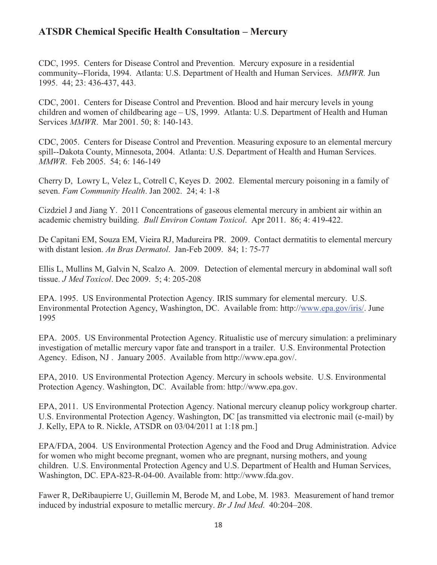community--Florida, 1994. Atlanta: U.S. Department of Health and Human Services. *MMWR.* Jun CDC, 1995. Centers for Disease Control and Prevention. Mercury exposure in a residential 1995. 44; 23: 436-437, 443.

CDC, 2001. Centers for Disease Control and Prevention. Blood and hair mercury levels in young children and women of childbearing age – US, 1999. Atlanta: U.S. Department of Health and Human Services *MMWR*. Mar 2001. 50; 8: 140-143.

CDC, 2005. Centers for Disease Control and Prevention. Measuring exposure to an elemental mercury spill--Dakota County, Minnesota, 2004. Atlanta: U.S. Department of Health and Human Services. *MMWR*. Feb 2005. 54; 6: 146-149

Cherry D, Lowry L, Velez L, Cotrell C, Keyes D. 2002. Elemental mercury poisoning in a family of seven. *Fam Community Health*. Jan 2002. 24; 4: 1-8

 academic chemistry building. *Bull Environ Contam Toxicol*. Apr 2011. 86; 4: 419-422. Cizdziel J and Jiang Y. 2011 Concentrations of gaseous elemental mercury in ambient air within an

De Capitani EM, Souza EM, Vieira RJ, Madureira PR. 2009. Contact dermatitis to elemental mercury with distant lesion. *An Bras Dermatol*. Jan-Feb 2009. 84; 1: 75-77

Ellis L, Mullins M, Galvin N, Scalzo A. 2009. Detection of elemental mercury in abdominal wall soft tissue. *J Med Toxicol*. Dec 2009. 5; 4: 205-208

 EPA. 1995. US Environmental Protection Agency. IRIS summary for elemental mercury. U.S. Environmental Protection Agency, Washington, DC. Available from: http://www.epa.gov/iris/. June 1995

EPA. 2005. US Environmental Protection Agency. Ritualistic use of mercury simulation: a preliminary investigation of metallic mercury vapor fate and transport in a trailer. U.S. Environmental Protection Agency. Edison, NJ . January 2005. Available from http://www.epa.gov/.

EPA, 2010. US Environmental Protection Agency. Mercury in schools website. U.S. Environmental Protection Agency. Washington, DC. Available from: http://www.epa.gov.

EPA, 2011. US Environmental Protection Agency. National mercury cleanup policy workgroup charter. U.S. Environmental Protection Agency. Washington, DC [as transmitted via electronic mail (e-mail) by J. Kelly, EPA to R. Nickle, ATSDR on 03/04/2011 at 1:18 pm.]

EPA/FDA, 2004. US Environmental Protection Agency and the Food and Drug Administration. Advice for women who might become pregnant, women who are pregnant, nursing mothers, and young children. U.S. Environmental Protection Agency and U.S. Department of Health and Human Services, Washington, DC. EPA-823-R-04-00. Available from: http://www.fda.gov.

Fawer R, DeRibaupierre U, Guillemin M, Berode M, and Lobe, M. 1983. Measurement of hand tremor induced by industrial exposure to metallic mercury. *Br J Ind Med*. 40:204–208.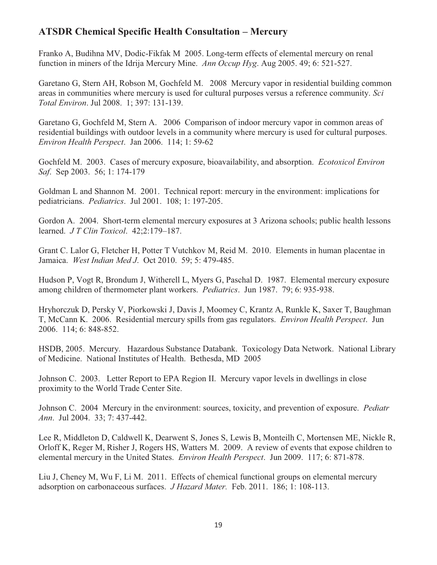Franko A, Budihna MV, Dodic-Fikfak M 2005. Long-term effects of elemental mercury on renal function in miners of the Idrija Mercury Mine. *Ann Occup Hyg*. Aug 2005. 49; 6: 521-527.

Garetano G, Stern AH, Robson M, Gochfeld M. 2008 Mercury vapor in residential building common areas in communities where mercury is used for cultural purposes versus a reference community. *Sci Total Environ*. Jul 2008. 1; 397: 131-139.

Garetano G, Gochfeld M, Stern A. 2006 Comparison of indoor mercury vapor in common areas of residential buildings with outdoor levels in a community where mercury is used for cultural purposes. *Environ Health Perspect*. Jan 2006. 114; 1: 59-62

Gochfeld M. 2003. Cases of mercury exposure, bioavailability, and absorption. *Ecotoxicol Environ Saf*. Sep 2003. 56; 1: 174-179

Goldman L and Shannon M. 2001. Technical report: mercury in the environment: implications for pediatricians. *Pediatrics*. Jul 2001. 108; 1: 197-205.

Gordon A. 2004. Short-term elemental mercury exposures at 3 Arizona schools; public health lessons learned. *J T Clin Toxicol*. 42;2:179–187.

Grant C. Lalor G, Fletcher H, Potter T Vutchkov M, Reid M. 2010. Elements in human placentae in Jamaica. *West Indian Med J*. Oct 2010. 59; 5: 479-485.

 Hudson P, Vogt R, Brondum J, Witherell L, Myers G, Paschal D. 1987. Elemental mercury exposure among children of thermometer plant workers. *Pediatrics*. Jun 1987. 79; 6: 935-938.

Hryhorczuk D, Persky V, Piorkowski J, Davis J, Moomey C, Krantz A, Runkle K, Saxer T, Baughman T, McCann K. 2006. Residential mercury spills from gas regulators. *Environ Health Perspect*. Jun 2006. 114; 6: 848-852.

 HSDB, 2005. Mercury. Hazardous Substance Databank. Toxicology Data Network. National Library of Medicine. National Institutes of Health. Bethesda, MD 2005

Johnson C. 2003. Letter Report to EPA Region II. Mercury vapor levels in dwellings in close proximity to the World Trade Center Site.

Johnson C. 2004 Mercury in the environment: sources, toxicity, and prevention of exposure. *Pediatr Ann*. Jul 2004. 33; 7: 437-442.

 elemental mercury in the United States. *Environ Health Perspect*. Jun 2009. 117; 6: 871-878. Lee R, Middleton D, Caldwell K, Dearwent S, Jones S, Lewis B, Monteilh C, Mortensen ME, Nickle R, Orloff K, Reger M, Risher J, Rogers HS, Watters M. 2009. A review of events that expose children to

Liu J, Cheney M, Wu F, Li M. 2011. Effects of chemical functional groups on elemental mercury adsorption on carbonaceous surfaces. *J Hazard Mater.* Feb. 2011. 186; 1: 108-113.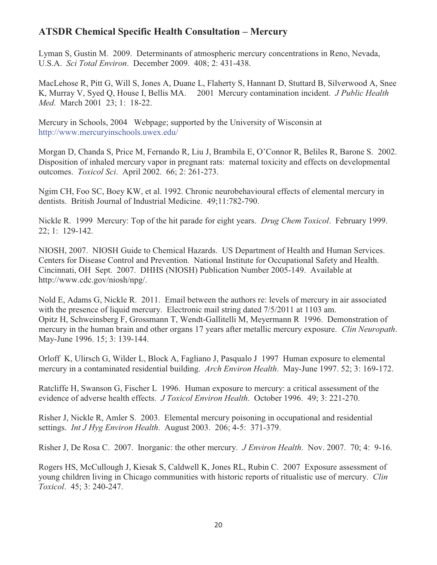Lyman S, Gustin M. 2009. Determinants of atmospheric mercury concentrations in Reno, Nevada, U.S.A. *Sci Total Environ*. December 2009. 408; 2: 431-438.

 K, Murray V, Syed Q, House I, Bellis MA. 2001 Mercury contamination incident. *J Public Health* MacLehose R, Pitt G, Will S, Jones A, Duane L, Flaherty S, Hannant D, Stuttard B, Silverwood A, Snee *Med*. March 2001 23; 1: 18-22.

Mercury in Schools, 2004 Webpage; supported by the University of Wisconsin at http://www.mercuryinschools.uwex.edu/

Morgan D, Chanda S, Price M, Fernando R, Liu J, Brambila E, O'Connor R, Beliles R, Barone S. 2002. Disposition of inhaled mercury vapor in pregnant rats: maternal toxicity and effects on developmental outcomes. *Toxicol Sci*. April 2002. 66; 2: 261-273.

 Ngim CH, Foo SC, Boey KW, et al. 1992. Chronic neurobehavioural effects of elemental mercury in dentists. British Journal of Industrial Medicine. 49;11:782-790.

 Nickle R. 1999 Mercury: Top of the hit parade for eight years. *Drug Chem Toxicol*. February 1999. 22; 1: 129-142.

 http://www.cdc.gov/niosh/npg/. NIOSH, 2007. NIOSH Guide to Chemical Hazards. US Department of Health and Human Services. Centers for Disease Control and Prevention. National Institute for Occupational Safety and Health. Cincinnati, OH Sept. 2007. DHHS (NIOSH) Publication Number 2005-149. Available at

 mercury in the human brain and other organs 17 years after metallic mercury exposure. *Clin Neuropath*. Nold E, Adams G, Nickle R. 2011. Email between the authors re: levels of mercury in air associated with the presence of liquid mercury. Electronic mail string dated  $7/5/2011$  at 1103 am. Opitz H, Schweinsberg F, Grossmann T, Wendt-Gallitelli M, Meyermann R 1996. Demonstration of May-June 1996. 15; 3: 139-144.

 mercury in a contaminated residential building. *Arch Environ Health*. May-June 1997. 52; 3: 169-172. Orloff K, Ulirsch G, Wilder L, Block A, Fagliano J, Pasqualo J 1997 Human exposure to elemental

 evidence of adverse health effects. *J Toxicol Environ Health*. October 1996. 49; 3: 221-270. Ratcliffe H, Swanson G, Fischer L 1996. Human exposure to mercury: a critical assessment of the

Risher J, Nickle R, Amler S. 2003. Elemental mercury poisoning in occupational and residential settings. *Int J Hyg Environ Health*. August 2003. 206; 4-5: 371-379.

Risher J, De Rosa C. 2007. Inorganic: the other mercury. *J Environ Health*. Nov. 2007. 70; 4: 9-16.

 young children living in Chicago communities with historic reports of ritualistic use of mercury. *Clin* Rogers HS, McCullough J, Kiesak S, Caldwell K, Jones RL, Rubin C. 2007 Exposure assessment of *Toxicol*. 45; 3: 240-247.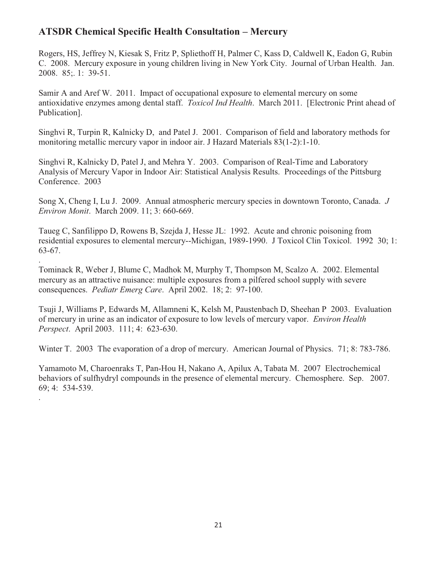Rogers, HS, Jeffrey N, Kiesak S, Fritz P, Spliethoff H, Palmer C, Kass D, Caldwell K, Eadon G, Rubin C. 2008. Mercury exposure in young children living in New York City. Journal of Urban Health. Jan. 2008. 85;. 1: 39-51.

 antioxidative enzymes among dental staff. *Toxicol Ind Health*. March 2011. [Electronic Print ahead of Samir A and Aref W. 2011. Impact of occupational exposure to elemental mercury on some Publication].

 Singhvi R, Turpin R, Kalnicky D, and Patel J. 2001. Comparison of field and laboratory methods for monitoring metallic mercury vapor in indoor air. J Hazard Materials 83(1-2):1-10.

Singhvi R, Kalnicky D, Patel J, and Mehra Y. 2003. Comparison of Real-Time and Laboratory Analysis of Mercury Vapor in Indoor Air: Statistical Analysis Results. Proceedings of the Pittsburg Conference. 2003

 Song X, Cheng I, Lu J. 2009. Annual atmospheric mercury species in downtown Toronto, Canada. *J Environ Monit*. March 2009. 11; 3: 660-669.

Taueg C, Sanfilippo D, Rowens B, Szejda J, Hesse JL: 1992. Acute and chronic poisoning from residential exposures to elemental mercury--Michigan, 1989-1990. J Toxicol Clin Toxicol. 1992 30; 1: 63-67. .

Tominack R, Weber J, Blume C, Madhok M, Murphy T, Thompson M, Scalzo A. 2002. Elemental mercury as an attractive nuisance: multiple exposures from a pilfered school supply with severe consequences. *Pediatr Emerg Care*. April 2002. 18; 2: 97-100.

 of mercury in urine as an indicator of exposure to low levels of mercury vapor. *Environ Health*  Tsuji J, Williams P, Edwards M, Allamneni K, Kelsh M, Paustenbach D, Sheehan P 2003. Evaluation *Perspect*. April 2003. 111; 4: 623-630.

Winter T. 2003 The evaporation of a drop of mercury. American Journal of Physics. 71; 8: 783-786.

 behaviors of sulfhydryl compounds in the presence of elemental mercury. Chemosphere. Sep. 2007. Yamamoto M, Charoenraks T, Pan-Hou H, Nakano A, Apilux A, Tabata M. 2007 Electrochemical 69; 4: 534-539. .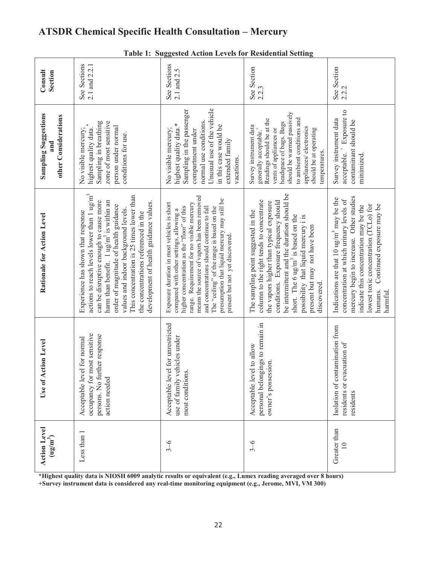| <b>Suggested Action Levels for Residential Setting</b><br>Table 1: |                                                                                                                                                                                                                                                                                                                                                                                                              |                                                                                                                                                                                                                                                                                                                                                                                                                   |                                                                                                                                                                                                                                                                                                                                                           |                                                                                                                                                                                                                                                                                    |  |  |  |  |
|--------------------------------------------------------------------|--------------------------------------------------------------------------------------------------------------------------------------------------------------------------------------------------------------------------------------------------------------------------------------------------------------------------------------------------------------------------------------------------------------|-------------------------------------------------------------------------------------------------------------------------------------------------------------------------------------------------------------------------------------------------------------------------------------------------------------------------------------------------------------------------------------------------------------------|-----------------------------------------------------------------------------------------------------------------------------------------------------------------------------------------------------------------------------------------------------------------------------------------------------------------------------------------------------------|------------------------------------------------------------------------------------------------------------------------------------------------------------------------------------------------------------------------------------------------------------------------------------|--|--|--|--|
| Consult<br>Section                                                 | 2.1 and 2.2.1<br>See Sections                                                                                                                                                                                                                                                                                                                                                                                | See Sections<br>2.1 and 2.5                                                                                                                                                                                                                                                                                                                                                                                       | See Section<br>2.2.3                                                                                                                                                                                                                                                                                                                                      | See Section<br>2.2.2                                                                                                                                                                                                                                                               |  |  |  |  |
| <b>Sampling Suggestions</b><br>other Considerations<br>and         | zone of most sensitive<br>Sampling in breathing<br>person under normal<br>No visible mercury;<br>highest quality data.<br>conditions for use.                                                                                                                                                                                                                                                                | Unusual use of the vehicle<br>Sampling in the passenger<br>normal use conditions.<br>highest quality data.*<br>in this case would be<br>No visible mercury;<br>compartment under<br>extended family<br>vacations.                                                                                                                                                                                                 | should be warmed passively<br>to ambient conditions and<br>Readings should be at the<br>headspace of bags. Bags<br>Survey instrument data<br>appliances/ electronics<br>vents of appliances or<br>generally acceptable. <sup>+</sup><br>should be at operating<br>temperatures.                                                                           | acceptable. <sup>+</sup> Exposure to<br>Survey instrument data<br>contaminant should be<br>minimized                                                                                                                                                                               |  |  |  |  |
| Rationale for Action Level                                         | actions to reach levels lower than $1 \text{ ug/m}^3$<br>This concentration is 25 times lower than<br>can be disruptive enough to cause more<br>harm than benefit. 1 ug/m <sup>3</sup> is within an<br>development of health guidance values.<br>order of magnitude of health guidance<br>values and indoor background levels.<br>Experience has shown that response<br>the concentrations referenced in the | means the source of vapors has been removed<br>presumption that liquid mercury may still be<br>range. Requirement for no visible mercury<br>Exposure duration in most vehicles is short<br>and concentrations should continue to fall<br>higher concentration as the "floor" of this<br>The "ceiling" of the range is based on the<br>compared with other settings, allowing a<br>present but not yet discovered. | be intermittent and the duration should be<br>conditions. Exposure frequency should<br>column to the right tends to concentrate<br>the vapors higher than typical exposure<br>The sampling point suggested in the<br>short. The 6 $\text{ug/m}^3$ is based on the<br>possibility that liquid mercury i is<br>present but may not have been<br>discovered. | mercury begin to increase. Other studies<br>Indications are that $10 \text{ ug/m}^3$ may be the<br>concentration at which urinary levels of<br>Continued exposure may be<br>lowest toxic concentration (TCLo) for<br>indicate this concentration may be the<br>humans.<br>harmful. |  |  |  |  |
| Use of Action Level                                                | occupancy for most sensitive<br>persons. No further response<br>for normal<br>Acceptable level<br>action needed                                                                                                                                                                                                                                                                                              | for unrestricted<br>use of family vehicles under<br>Acceptable level<br>most conditions.                                                                                                                                                                                                                                                                                                                          | ngs to remain in<br>Acceptable level to allow<br>owner's possession.<br>personal belongi                                                                                                                                                                                                                                                                  | Isolation of contamination from<br>residents or evacuation of<br>residents                                                                                                                                                                                                         |  |  |  |  |
| <b>Action Level</b><br>$(\mathbf{u}\mathbf{g}/\mathbf{m}^3)$       | Less than 1                                                                                                                                                                                                                                                                                                                                                                                                  | $3 - 6$                                                                                                                                                                                                                                                                                                                                                                                                           | $3 - 6$                                                                                                                                                                                                                                                                                                                                                   | Greater than<br>$\Xi$                                                                                                                                                                                                                                                              |  |  |  |  |

**\*Highest quality data is NIOSH 6009 analytic results or equivalent (e.g., Lumex reading averaged over 8 hours)** 

**+Survey instrument data is considered any real-time monitoring equipment (e.g., Jerome, MVI, VM 300)**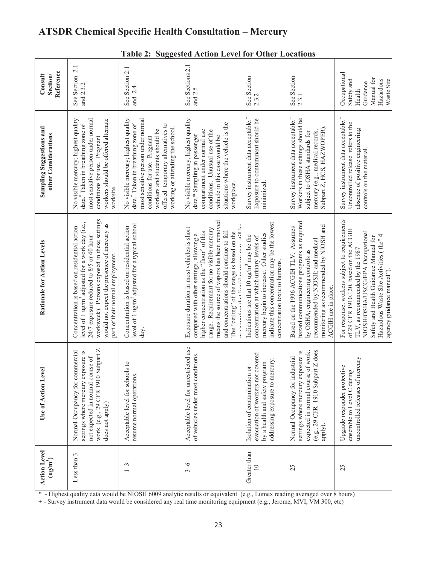|                                                     |                                                                                                                                                                                                                                                                                           | $\bf{1}$ a                                                                                                                                                                                                                                                           |                                                                                                                                                                                                                                                                                                                                |                                                                                                                                                                                                                                |                                                                                                                                                                                                                              |                                                                                                                                                                                                                                                                                 |
|-----------------------------------------------------|-------------------------------------------------------------------------------------------------------------------------------------------------------------------------------------------------------------------------------------------------------------------------------------------|----------------------------------------------------------------------------------------------------------------------------------------------------------------------------------------------------------------------------------------------------------------------|--------------------------------------------------------------------------------------------------------------------------------------------------------------------------------------------------------------------------------------------------------------------------------------------------------------------------------|--------------------------------------------------------------------------------------------------------------------------------------------------------------------------------------------------------------------------------|------------------------------------------------------------------------------------------------------------------------------------------------------------------------------------------------------------------------------|---------------------------------------------------------------------------------------------------------------------------------------------------------------------------------------------------------------------------------------------------------------------------------|
| Reference<br>Consult<br>Section/                    | See Section 2.1<br>and 2.3.2                                                                                                                                                                                                                                                              | See Section 2.1<br>and 2.4                                                                                                                                                                                                                                           | See Sections 2.1<br>and 2.5                                                                                                                                                                                                                                                                                                    | See Section<br>2.3.2                                                                                                                                                                                                           | See Section<br>2.3.1                                                                                                                                                                                                         | Occupational<br>Manual for<br>Hazardous<br>Waste Site<br>Safety and<br>Guidance<br>Health                                                                                                                                                                                       |
| Sampling Suggestions and<br>other Considerations    | most sensitive person under normal<br>workers should be offered alternate<br>No visible mercury; highest quality<br>data. <sup>*</sup> Taken in breathing zone of<br>conditions for use. Pregnant<br>worksite.                                                                            | most sensitive person under normal<br>No visible mercury; highest quality<br>data. <sup>*</sup> Taken in breathing zone of<br>offered temporary alternatives to<br>working or attending the school<br>workers and students should be<br>conditions for use. Pregnant | No visible mercury; highest quality<br>situations where the vehicle is the<br>compartment under normal use<br>conditions. Unusual use of the<br>data.* Sampling in passenger<br>vehicle in this case would be<br>workplace.                                                                                                    | Survey instrument data acceptable. <sup>+</sup><br>Exposure to contaminant should be<br>minimized.                                                                                                                             | Survey instrument data acceptable. <sup>+</sup><br>Workers in these settings should be<br>Subpart Z, HCS, HAZWOPER).<br>mercury (e.g., medical records,<br>subject to OSHA standards for                                     | Survey instrument data acceptable.<br>Uncontrolled release refers to the<br>absence of positive engineering<br>controls on the material.                                                                                                                                        |
| Rationale for Action Levels                         | workweek). Persons exposed in these settings<br>level of 1 ug/m <sup>3</sup> adjusted for a work day (i.e.,<br>would not expect the presence of mercury as<br>Concentration is based on residential action<br>24/7 exposure reduced to 8/5 or 40 hour<br>part of their normal employment. | level of 1 ug/m <sup>3</sup> adjusted for a typical school<br>Concentration is based on residential action<br>day.                                                                                                                                                   | means the source of vapors has been removed<br>Exposure duration in most vehicles is short<br>range. Requirement for no visible mercury<br>higher concentration as the "floor" of this<br>and concentrations should continue to fall<br>The "ceiling" of the range is based on the<br>compared with other settings, allowing a | indicate this concentration may be the lowest<br>mercury begin to increase. Other studies<br>Indications are that $10 \text{ ug/m}^3$ may be the<br>concentration at which urinary levels of<br>concentration toxic to humans. | hazard communications programs as required<br>monitoring as recommended by NIOSH and<br>Based on the 1996 ACGIH TLV. Assumes<br>recommended by NIOSH; and medical<br>by OSHA; engineering controls as<br>ACGIH are in place. | For response, workers subject to requirements<br>of 29 CFR 1910.120, based on the ACGIH<br>NIOSH/OSHA/USCG/EPA Occupational<br>Hazardous Waste Site Activities (the" 4<br>Safety and Health Guidance Manual for<br>TLV, as recommended by the 1987<br>agency guidance manual"). |
| Use of Action Level                                 | Subpart Z<br>Normal Occupancy for commercial<br>settings where mercury exposure is<br>not expected in normal course of<br>work. (e.g., 29 CFR 1910<br>does not apply)                                                                                                                     | Acceptable level for schools to<br>resume normal operations.                                                                                                                                                                                                         | Acceptable level for unrestricted use<br>of vehicles under most conditions.                                                                                                                                                                                                                                                    | evacuation of workers not covered<br>addressing exposure to mercury.<br>by a health and safety program<br>Isolation of contamination or                                                                                        | (e.g., 29 CFR 1910 Subpart Z does<br>settings where mercury exposure is<br>expected in normal course of work.<br>Normal Occupancy for industrial<br>apply).                                                                  | uncontrolled releases of mercury<br>Upgrade responder protective<br>ensemble to Level C during                                                                                                                                                                                  |
| <b>Action Level</b><br>$(\mathbf{u}\mathbf{g/m}^3)$ | Less than 3                                                                                                                                                                                                                                                                               | $1 - 3$                                                                                                                                                                                                                                                              | $3 - 6$                                                                                                                                                                                                                                                                                                                        | Greater than<br>$\approx$                                                                                                                                                                                                      | 25                                                                                                                                                                                                                           | 25                                                                                                                                                                                                                                                                              |

#### **Table 2: Suggested Action Level for Other Locations**

\* - Highest quality data would be NIOSH 6009 analytic results or equivalent (e.g., Lumex reading averaged over 8 hours)

+ - Survey instrument data would be considered any real time monitoring equipment (e.g., Jerome, MVI, VM 300, etc)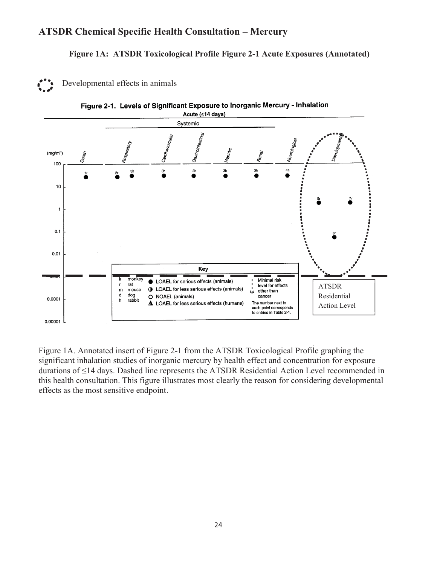#### **Figure 1A: ATSDR Toxicological Profile Figure 2-1 Acute Exposures (Annotated)**





Figure 2-1. Levels of Significant Exposure to Inorganic Mercury - Inhalation

Figure 1A. Annotated insert of Figure 2-1 from the ATSDR Toxicological Profile graphing the significant inhalation studies of inorganic mercury by health effect and concentration for exposure durations of ≤14 days. Dashed line represents the ATSDR Residential Action Level recommended in this health consultation. This figure illustrates most clearly the reason for considering developmental effects as the most sensitive endpoint.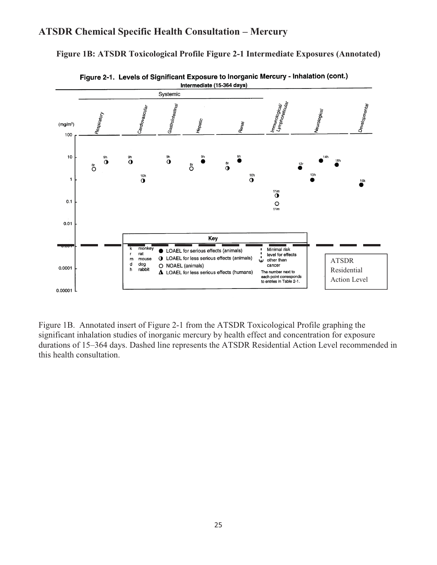

**Figure 1B: ATSDR Toxicological Profile Figure 2-1 Intermediate Exposures (Annotated)** 

Figure 1B. Annotated insert of Figure 2-1 from the ATSDR Toxicological Profile graphing the significant inhalation studies of inorganic mercury by health effect and concentration for exposure durations of 15–364 days. Dashed line represents the ATSDR Residential Action Level recommended in this health consultation.